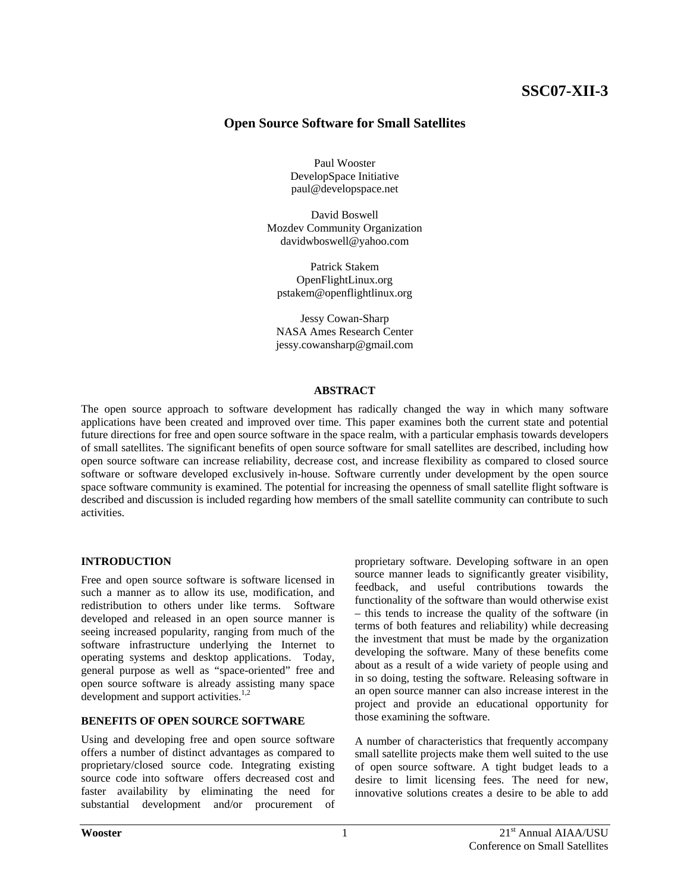# **SSC07-XII-3**

## **Open Source Software for Small Satellites**

Paul Wooster DevelopSpace Initiative paul@developspace.net

David Boswell Mozdev Community Organization davidwboswell@yahoo.com

Patrick Stakem OpenFlightLinux.org pstakem@openflightlinux.org

Jessy Cowan-Sharp NASA Ames Research Center jessy.cowansharp@gmail.com

#### **ABSTRACT**

The open source approach to software development has radically changed the way in which many software applications have been created and improved over time. This paper examines both the current state and potential future directions for free and open source software in the space realm, with a particular emphasis towards developers of small satellites. The significant benefits of open source software for small satellites are described, including how open source software can increase reliability, decrease cost, and increase flexibility as compared to closed source software or software developed exclusively in-house. Software currently under development by the open source space software community is examined. The potential for increasing the openness of small satellite flight software is described and discussion is included regarding how members of the small satellite community can contribute to such activities.

## **INTRODUCTION**

Free and open source software is software licensed in such a manner as to allow its use, modification, and redistribution to others under like terms. Software developed and released in an open source manner is seeing increased popularity, ranging from much of the software infrastructure underlying the Internet to operating systems and desktop applications. Today, general purpose as well as "space-oriented" free and open source software is already assisting many space development and support activities.<sup>1,2</sup>

#### **BENEFITS OF OPEN SOURCE SOFTWARE**

Using and developing free and open source software offers a number of distinct advantages as compared to proprietary/closed source code. Integrating existing source code into software offers decreased cost and faster availability by eliminating the need for substantial development and/or procurement of proprietary software. Developing software in an open source manner leads to significantly greater visibility, feedback, and useful contributions towards the functionality of the software than would otherwise exist – this tends to increase the quality of the software (in terms of both features and reliability) while decreasing the investment that must be made by the organization developing the software. Many of these benefits come about as a result of a wide variety of people using and in so doing, testing the software. Releasing software in an open source manner can also increase interest in the project and provide an educational opportunity for those examining the software.

A number of characteristics that frequently accompany small satellite projects make them well suited to the use of open source software. A tight budget leads to a desire to limit licensing fees. The need for new, innovative solutions creates a desire to be able to add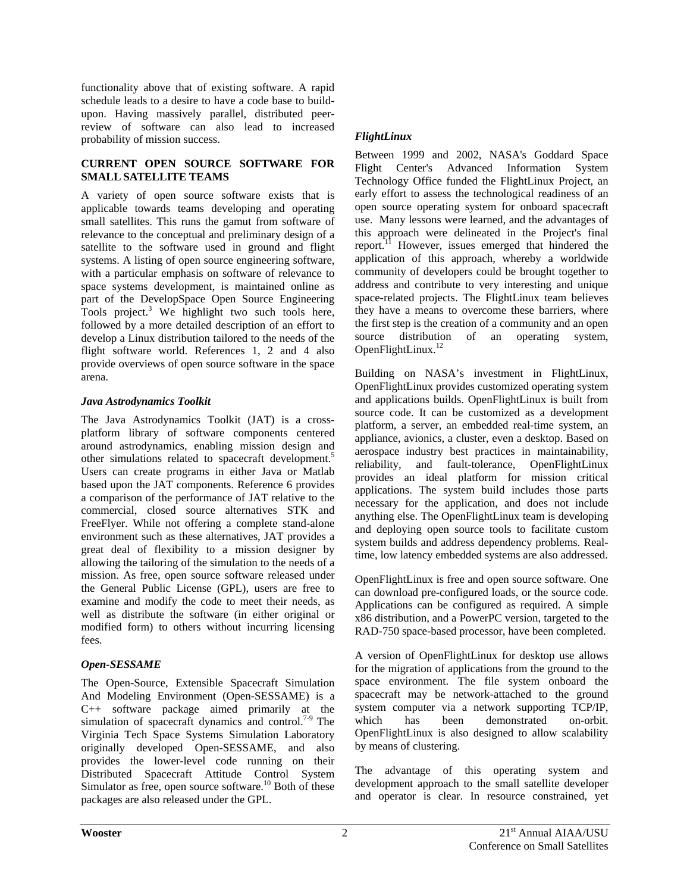functionality above that of existing software. A rapid schedule leads to a desire to have a code base to buildupon. Having massively parallel, distributed peerreview of software can also lead to increased probability of mission success.

## **CURRENT OPEN SOURCE SOFTWARE FOR SMALL SATELLITE TEAMS**

A variety of open source software exists that is applicable towards teams developing and operating small satellites. This runs the gamut from software of relevance to the conceptual and preliminary design of a satellite to the software used in ground and flight systems. A listing of open source engineering software, with a particular emphasis on software of relevance to space systems development, is maintained online as part of the DevelopSpace Open Source Engineering Tools project.<sup>3</sup> We highlight two such tools here, followed by a more detailed description of an effort to develop a Linux distribution tailored to the needs of the flight software world. References 1, 2 and 4 also provide overviews of open source software in the space arena.

## *Java Astrodynamics Toolkit*

The Java Astrodynamics Toolkit (JAT) is a crossplatform library of software components centered around astrodynamics, enabling mission design and other simulations related to spacecraft development.<sup>5</sup> Users can create programs in either Java or Matlab based upon the JAT components. Reference 6 provides a comparison of the performance of JAT relative to the commercial, closed source alternatives STK and FreeFlyer. While not offering a complete stand-alone environment such as these alternatives, JAT provides a great deal of flexibility to a mission designer by allowing the tailoring of the simulation to the needs of a mission. As free, open source software released under the General Public License (GPL), users are free to examine and modify the code to meet their needs, as well as distribute the software (in either original or modified form) to others without incurring licensing fees.

## *Open-SESSAME*

The Open-Source, Extensible Spacecraft Simulation And Modeling Environment (Open-SESSAME) is a C++ software package aimed primarily at the simulation of spacecraft dynamics and control.<sup>7-9</sup> The Virginia Tech Space Systems Simulation Laboratory originally developed Open-SESSAME, and also provides the lower-level code running on their Distributed Spacecraft Attitude Control System Simulator as free, open source software.<sup>10</sup> Both of these packages are also released under the GPL.

# *FlightLinux*

Between 1999 and 2002, NASA's Goddard Space Flight Center's Advanced Information System Technology Office funded the FlightLinux Project, an early effort to assess the technological readiness of an open source operating system for onboard spacecraft use. Many lessons were learned, and the advantages of this approach were delineated in the Project's final report.<sup>11</sup> However, issues emerged that hindered the application of this approach, whereby a worldwide community of developers could be brought together to address and contribute to very interesting and unique space-related projects. The FlightLinux team believes they have a means to overcome these barriers, where the first step is the creation of a community and an open source distribution of an operating system, OpenFlightLinux.<sup>12</sup>

Building on NASA's investment in FlightLinux, OpenFlightLinux provides customized operating system and applications builds. OpenFlightLinux is built from source code. It can be customized as a development platform, a server, an embedded real-time system, an appliance, avionics, a cluster, even a desktop. Based on aerospace industry best practices in maintainability, reliability, and fault-tolerance, OpenFlightLinux provides an ideal platform for mission critical applications. The system build includes those parts necessary for the application, and does not include anything else. The OpenFlightLinux team is developing and deploying open source tools to facilitate custom system builds and address dependency problems. Realtime, low latency embedded systems are also addressed.

OpenFlightLinux is free and open source software. One can download pre-configured loads, or the source code. Applications can be configured as required. A simple x86 distribution, and a PowerPC version, targeted to the RAD-750 space-based processor, have been completed.

A version of OpenFlightLinux for desktop use allows for the migration of applications from the ground to the space environment. The file system onboard the spacecraft may be network-attached to the ground system computer via a network supporting TCP/IP, which has been demonstrated on-orbit. OpenFlightLinux is also designed to allow scalability by means of clustering.

The advantage of this operating system and development approach to the small satellite developer and operator is clear. In resource constrained, yet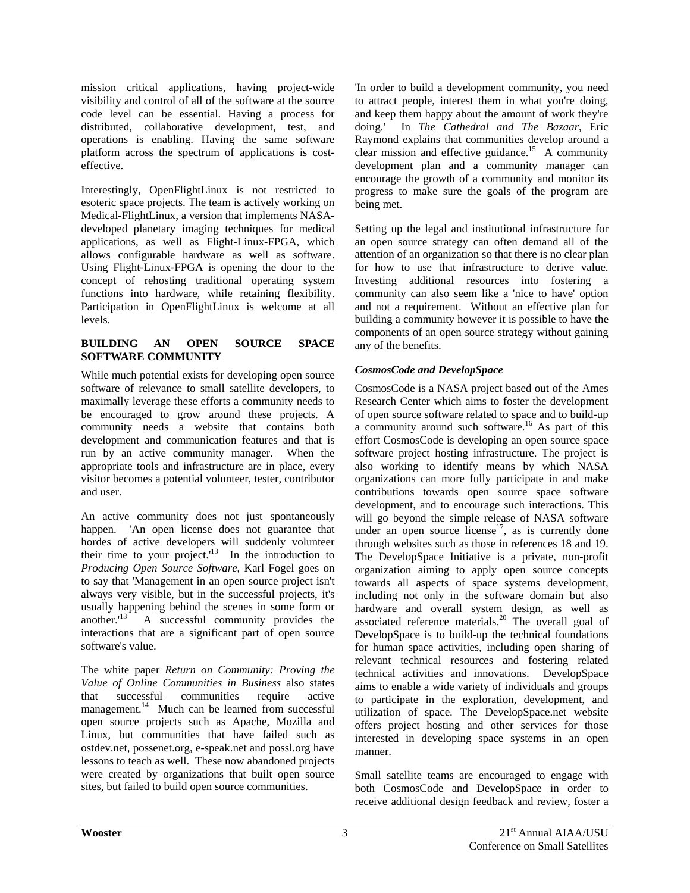mission critical applications, having project-wide visibility and control of all of the software at the source code level can be essential. Having a process for distributed, collaborative development, test, and operations is enabling. Having the same software platform across the spectrum of applications is costeffective.

Interestingly, OpenFlightLinux is not restricted to esoteric space projects. The team is actively working on Medical-FlightLinux, a version that implements NASAdeveloped planetary imaging techniques for medical applications, as well as Flight-Linux-FPGA, which allows configurable hardware as well as software. Using Flight-Linux-FPGA is opening the door to the concept of rehosting traditional operating system functions into hardware, while retaining flexibility. Participation in OpenFlightLinux is welcome at all levels.

#### **BUILDING AN OPEN SOURCE SPACE SOFTWARE COMMUNITY**

While much potential exists for developing open source software of relevance to small satellite developers, to maximally leverage these efforts a community needs to be encouraged to grow around these projects. A community needs a website that contains both development and communication features and that is run by an active community manager. When the appropriate tools and infrastructure are in place, every visitor becomes a potential volunteer, tester, contributor and user.

An active community does not just spontaneously happen. 'An open license does not guarantee that hordes of active developers will suddenly volunteer their time to your project.<sup> $13$ </sup> In the introduction to *Producing Open Source Software*, Karl Fogel goes on to say that 'Management in an open source project isn't always very visible, but in the successful projects, it's usually happening behind the scenes in some form or another.<sup>13</sup> A successful community provides the interactions that are a significant part of open source software's value.

The white paper *Return on Community: Proving the Value of Online Communities in Business* also states that successful communities require active management.<sup>14</sup> Much can be learned from successful open source projects such as Apache, Mozilla and Linux, but communities that have failed such as ostdev.net, possenet.org, e-speak.net and possl.org have lessons to teach as well. These now abandoned projects were created by organizations that built open source sites, but failed to build open source communities.

'In order to build a development community, you need to attract people, interest them in what you're doing, and keep them happy about the amount of work they're doing.' In *The Cathedral and The Bazaar*, Eric Raymond explains that communities develop around a clear mission and effective guidance.<sup>15</sup> A community development plan and a community manager can encourage the growth of a community and monitor its progress to make sure the goals of the program are being met.

Setting up the legal and institutional infrastructure for an open source strategy can often demand all of the attention of an organization so that there is no clear plan for how to use that infrastructure to derive value. Investing additional resources into fostering a community can also seem like a 'nice to have' option and not a requirement. Without an effective plan for building a community however it is possible to have the components of an open source strategy without gaining any of the benefits.

# *CosmosCode and DevelopSpace*

CosmosCode is a NASA project based out of the Ames Research Center which aims to foster the development of open source software related to space and to build-up a community around such software.<sup>16</sup> As part of this effort CosmosCode is developing an open source space software project hosting infrastructure. The project is also working to identify means by which NASA organizations can more fully participate in and make contributions towards open source space software development, and to encourage such interactions. This will go beyond the simple release of NASA software under an open source license<sup>17</sup>, as is currently done through websites such as those in references 18 and 19. The DevelopSpace Initiative is a private, non-profit organization aiming to apply open source concepts towards all aspects of space systems development, including not only in the software domain but also hardware and overall system design, as well as associated reference materials. $20$  The overall goal of DevelopSpace is to build-up the technical foundations for human space activities, including open sharing of relevant technical resources and fostering related technical activities and innovations. DevelopSpace aims to enable a wide variety of individuals and groups to participate in the exploration, development, and utilization of space. The DevelopSpace.net website offers project hosting and other services for those interested in developing space systems in an open manner.

Small satellite teams are encouraged to engage with both CosmosCode and DevelopSpace in order to receive additional design feedback and review, foster a